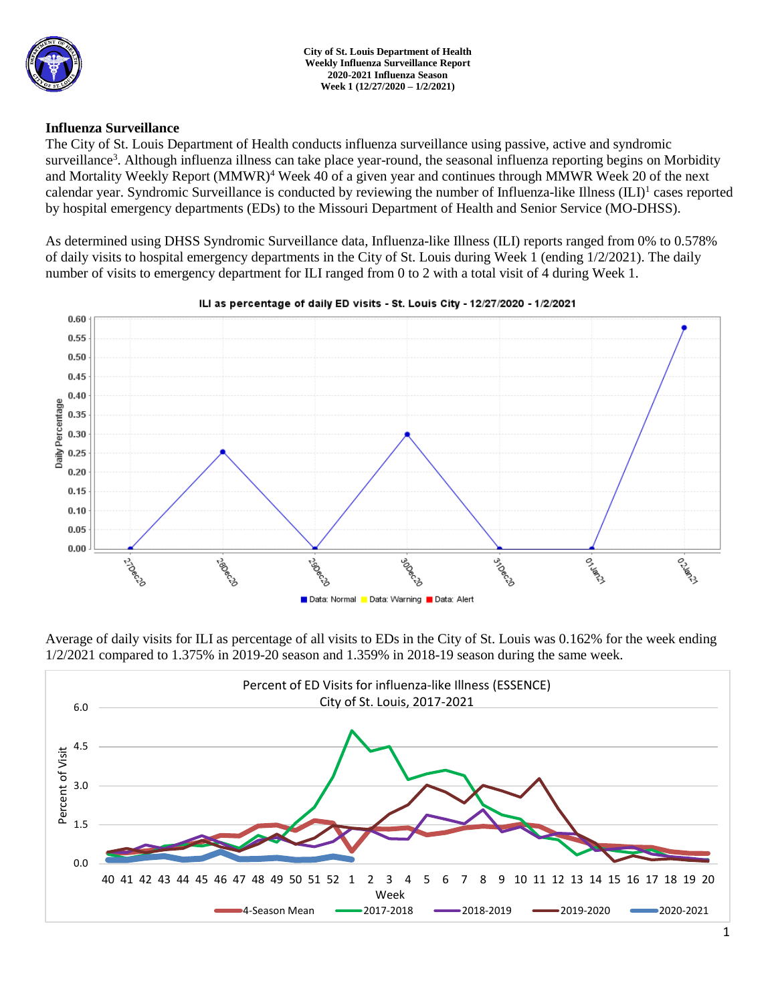

## **Influenza Surveillance**

The City of St. Louis Department of Health conducts influenza surveillance using passive, active and syndromic surveillance<sup>3</sup>. Although influenza illness can take place year-round, the seasonal influenza reporting begins on Morbidity and Mortality Weekly Report (MMWR)<sup>4</sup> Week 40 of a given year and continues through MMWR Week 20 of the next calendar year. Syndromic Surveillance is conducted by reviewing the number of Influenza-like Illness (ILI)<sup>1</sup> cases reported by hospital emergency departments (EDs) to the Missouri Department of Health and Senior Service (MO-DHSS).

As determined using DHSS Syndromic Surveillance data, Influenza-like Illness (ILI) reports ranged from 0% to 0.578% of daily visits to hospital emergency departments in the City of St. Louis during Week 1 (ending 1/2/2021). The daily number of visits to emergency department for ILI ranged from 0 to 2 with a total visit of 4 during Week 1.



## ILI as percentage of daily ED visits - St. Louis City - 12/27/2020 - 1/2/2021

Average of daily visits for ILI as percentage of all visits to EDs in the City of St. Louis was 0.162% for the week ending 1/2/2021 compared to 1.375% in 2019-20 season and 1.359% in 2018-19 season during the same week.

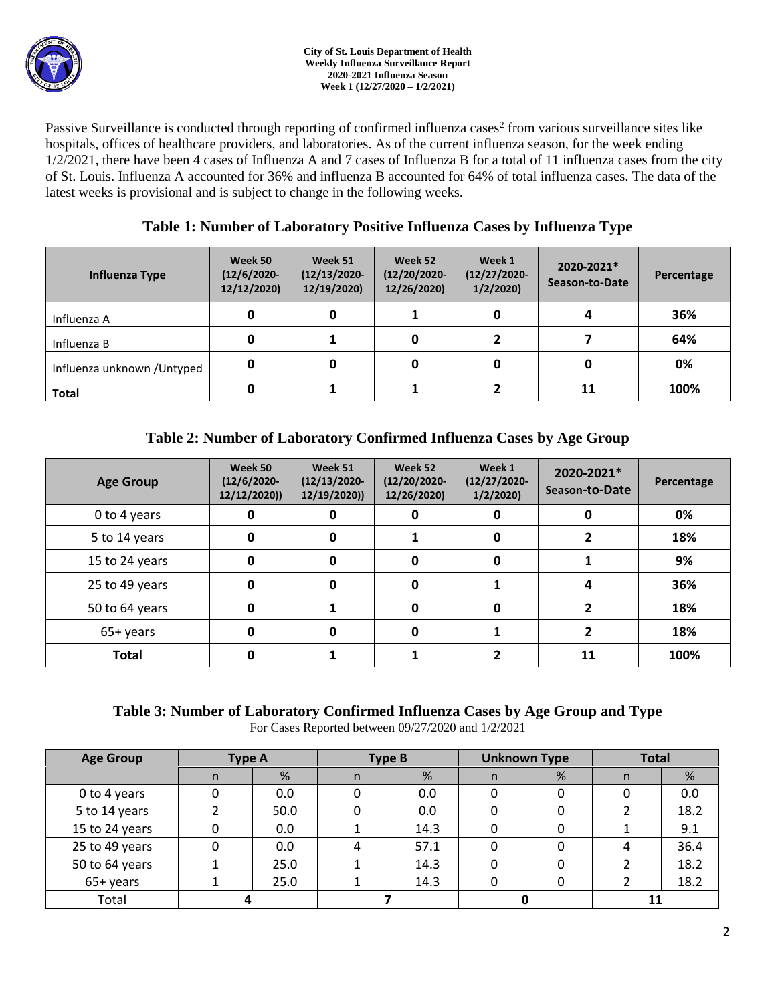

Passive Surveillance is conducted through reporting of confirmed influenza cases<sup>2</sup> from various surveillance sites like hospitals, offices of healthcare providers, and laboratories. As of the current influenza season, for the week ending 1/2/2021, there have been 4 cases of Influenza A and 7 cases of Influenza B for a total of 11 influenza cases from the city of St. Louis. Influenza A accounted for 36% and influenza B accounted for 64% of total influenza cases. The data of the latest weeks is provisional and is subject to change in the following weeks.

## **Table 1: Number of Laboratory Positive Influenza Cases by Influenza Type**

| Influenza Type              | Week 50<br>$(12/6/2020 -$<br>12/12/2020) | Week 51<br>$(12/13/2020 -$<br>12/19/2020) | Week 52<br>$(12/20/2020 -$<br>12/26/2020) | Week 1<br>$(12/27/2020 -$<br>1/2/2020 | 2020-2021*<br>Season-to-Date | Percentage |
|-----------------------------|------------------------------------------|-------------------------------------------|-------------------------------------------|---------------------------------------|------------------------------|------------|
| Influenza A                 | 0                                        |                                           |                                           |                                       |                              | 36%        |
| Influenza B                 | 0                                        |                                           | 0                                         |                                       |                              | 64%        |
| Influenza unknown / Untyped | 0                                        |                                           | 0                                         |                                       |                              | 0%         |
| <b>Total</b>                | 0                                        |                                           |                                           |                                       | 11                           | 100%       |

# **Table 2: Number of Laboratory Confirmed Influenza Cases by Age Group**

| <b>Age Group</b> | Week 50<br>$(12/6/2020 -$<br>12/12/2020) | Week 51<br>$(12/13/2020 -$<br>12/19/2020)) | Week 52<br>$(12/20/2020 -$<br>12/26/2020) | Week 1<br>$(12/27/2020 -$<br>1/2/2020 | 2020-2021*<br>Season-to-Date | Percentage |
|------------------|------------------------------------------|--------------------------------------------|-------------------------------------------|---------------------------------------|------------------------------|------------|
| 0 to 4 years     | 0                                        | 0                                          | 0                                         | 0                                     | O                            | 0%         |
| 5 to 14 years    | 0                                        | 0                                          |                                           | 0                                     |                              | 18%        |
| 15 to 24 years   | 0                                        | 0                                          | 0                                         | 0                                     |                              | 9%         |
| 25 to 49 years   | 0                                        | O                                          | 0                                         |                                       | 4                            | 36%        |
| 50 to 64 years   | 0                                        |                                            | 0                                         | 0                                     |                              | 18%        |
| 65+ years        | 0                                        | O                                          | 0                                         |                                       |                              | 18%        |
| <b>Total</b>     |                                          |                                            |                                           |                                       | 11                           | 100%       |

# **Table 3: Number of Laboratory Confirmed Influenza Cases by Age Group and Type**

For Cases Reported between 09/27/2020 and 1/2/2021

| <b>Age Group</b> | <b>Type A</b> |      | <b>Type B</b> |      | <b>Unknown Type</b> |   | <b>Total</b> |      |
|------------------|---------------|------|---------------|------|---------------------|---|--------------|------|
|                  | n             | %    | n             | %    | n.                  | % | n            | %    |
| 0 to 4 years     |               | 0.0  |               | 0.0  |                     |   |              | 0.0  |
| 5 to 14 years    |               | 50.0 |               | 0.0  |                     |   |              | 18.2 |
| 15 to 24 years   |               | 0.0  |               | 14.3 |                     |   |              | 9.1  |
| 25 to 49 years   |               | 0.0  | 4             | 57.1 |                     |   |              | 36.4 |
| 50 to 64 years   |               | 25.0 |               | 14.3 |                     |   |              | 18.2 |
| 65+ years        |               | 25.0 |               | 14.3 |                     |   |              | 18.2 |
| Total            |               |      |               |      |                     |   | 11           |      |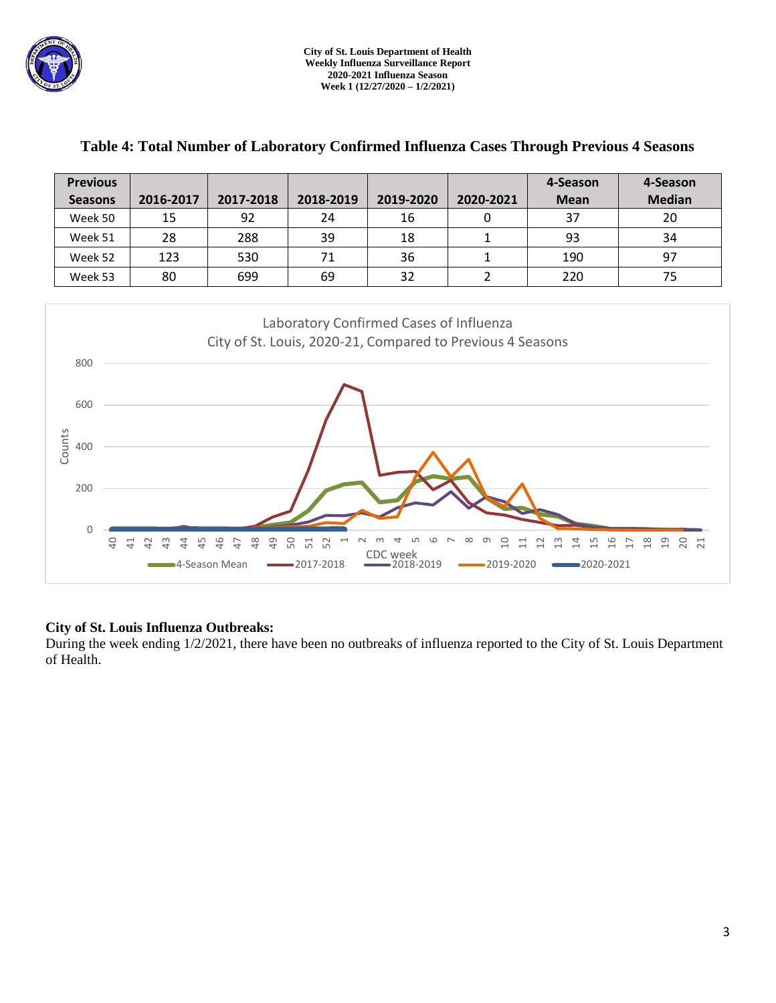

| <b>Previous</b>                                                                              |                                                                           |                      |                                            |           |                                                            | 4-Season           | 4-Season                                            |  |  |  |
|----------------------------------------------------------------------------------------------|---------------------------------------------------------------------------|----------------------|--------------------------------------------|-----------|------------------------------------------------------------|--------------------|-----------------------------------------------------|--|--|--|
| <b>Seasons</b>                                                                               | 2016-2017                                                                 | 2017-2018            | 2018-2019                                  | 2019-2020 | 2020-2021                                                  | <b>Mean</b>        | <b>Median</b>                                       |  |  |  |
| Week 50                                                                                      | 15                                                                        | 92                   | 24                                         | 16        | $\mathbf 0$                                                | 37                 | 20                                                  |  |  |  |
| Week 51                                                                                      | 28                                                                        | 288                  | 39                                         | 18        | $\mathbf{1}$                                               | 93                 | 34                                                  |  |  |  |
| Week 52                                                                                      | 123                                                                       | 530                  | 71                                         | 36        | $\mathbf{1}$                                               | 190                | 97                                                  |  |  |  |
| Week 53                                                                                      | 80                                                                        | 699                  | 69                                         | 32        | $\overline{2}$                                             | 220                | 75                                                  |  |  |  |
|                                                                                              |                                                                           |                      |                                            |           |                                                            |                    |                                                     |  |  |  |
|                                                                                              | Laboratory Confirmed Cases of Influenza                                   |                      |                                            |           |                                                            |                    |                                                     |  |  |  |
|                                                                                              |                                                                           |                      |                                            |           | City of St. Louis, 2020-21, Compared to Previous 4 Seasons |                    |                                                     |  |  |  |
| 800                                                                                          |                                                                           |                      |                                            |           |                                                            |                    |                                                     |  |  |  |
|                                                                                              |                                                                           |                      |                                            |           |                                                            |                    |                                                     |  |  |  |
| 600                                                                                          |                                                                           |                      |                                            |           |                                                            |                    |                                                     |  |  |  |
|                                                                                              |                                                                           |                      |                                            |           |                                                            |                    |                                                     |  |  |  |
| Counts<br>400                                                                                |                                                                           |                      |                                            |           |                                                            |                    |                                                     |  |  |  |
|                                                                                              |                                                                           |                      |                                            |           |                                                            |                    |                                                     |  |  |  |
|                                                                                              |                                                                           |                      |                                            |           |                                                            |                    |                                                     |  |  |  |
|                                                                                              | 200                                                                       |                      |                                            |           |                                                            |                    |                                                     |  |  |  |
|                                                                                              |                                                                           |                      |                                            |           |                                                            |                    |                                                     |  |  |  |
| 0<br>$\Theta$                                                                                | $\overline{4}$<br>$\overline{4}$<br>$\overline{4}$<br>42<br>$\frac{3}{4}$ | 48<br>49<br>46<br>47 | 50<br>52<br>51<br>$\overline{\phantom{0}}$ | ဖ         | ∞<br>ഗ<br>$\overline{a}$<br>금                              | $\frac{6}{1}$<br>끔 | $\frac{8}{18}$<br>$\overline{1}9$<br>20<br>F<br>- 김 |  |  |  |
| CDC week<br>$-2019-2020$<br>■2020-2021<br>■4-Season Mean<br>$-2017 - 2018$<br>$-2018 - 2019$ |                                                                           |                      |                                            |           |                                                            |                    |                                                     |  |  |  |

## **Table 4: Total Number of Laboratory Confirmed Influenza Cases Through Previous 4 Seasons**

## **City of St. Louis Influenza Outbreaks:**

During the week ending 1/2/2021, there have been no outbreaks of influenza reported to the City of St. Louis Department of Health.